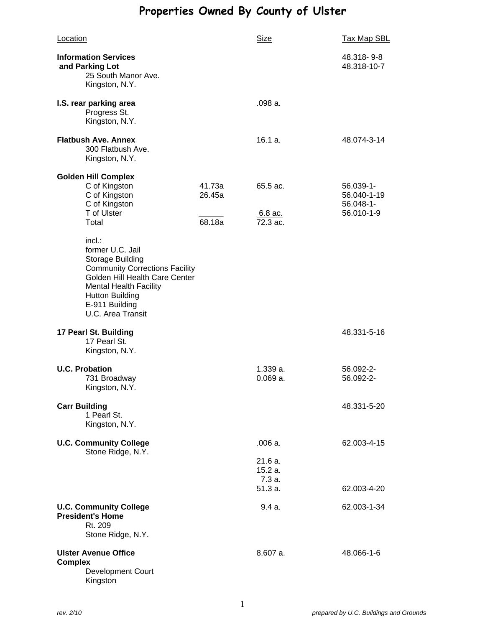# **Properties Owned By County of Ulster**

| Location                                                                                                                                                                                                                              |                            | Size                                   | <b>Tax Map SBL</b>                                            |
|---------------------------------------------------------------------------------------------------------------------------------------------------------------------------------------------------------------------------------------|----------------------------|----------------------------------------|---------------------------------------------------------------|
| <b>Information Services</b><br>and Parking Lot<br>25 South Manor Ave.<br>Kingston, N.Y.                                                                                                                                               |                            |                                        | 48.318-9-8<br>48.318-10-7                                     |
| I.S. rear parking area<br>Progress St.<br>Kingston, N.Y.                                                                                                                                                                              |                            | .098 a.                                |                                                               |
| <b>Flatbush Ave. Annex</b><br>300 Flatbush Ave.<br>Kingston, N.Y.                                                                                                                                                                     |                            | 16.1 a.                                | 48.074-3-14                                                   |
| <b>Golden Hill Complex</b><br>C of Kingston<br>C of Kingston<br>C of Kingston<br>T of Ulster<br>Total                                                                                                                                 | 41.73a<br>26.45a<br>68.18a | 65.5 ac.<br>$6.8$ ac.<br>72.3 ac.      | $56.039 - 1 -$<br>56.040-1-19<br>$56.048 - 1 -$<br>56.010-1-9 |
| $incl.$ :<br>former U.C. Jail<br><b>Storage Building</b><br><b>Community Corrections Facility</b><br>Golden Hill Health Care Center<br><b>Mental Health Facility</b><br><b>Hutton Building</b><br>E-911 Building<br>U.C. Area Transit |                            |                                        |                                                               |
| 17 Pearl St. Building<br>17 Pearl St.<br>Kingston, N.Y.                                                                                                                                                                               |                            |                                        | 48.331-5-16                                                   |
| <b>U.C. Probation</b><br>731 Broadway<br>Kingston, N.Y.                                                                                                                                                                               |                            | 1.339 a.<br>$0.069a$ .                 | 56.092-2-<br>56.092-2-                                        |
| <b>Carr Building</b><br>1 Pearl St.<br>Kingston, N.Y.                                                                                                                                                                                 |                            |                                        | 48.331-5-20                                                   |
| <b>U.C. Community College</b><br>Stone Ridge, N.Y.                                                                                                                                                                                    |                            | .006a.<br>21.6 a.<br>15.2 a.<br>7.3 a. | 62.003-4-15                                                   |
| <b>U.C. Community College</b><br><b>President's Home</b><br>Rt. 209<br>Stone Ridge, N.Y.                                                                                                                                              |                            | 51.3 a.<br>9.4a.                       | 62.003-4-20<br>62.003-1-34                                    |
| <b>Ulster Avenue Office</b><br><b>Complex</b><br><b>Development Court</b><br>Kingston                                                                                                                                                 |                            | 8.607a.                                | 48.066-1-6                                                    |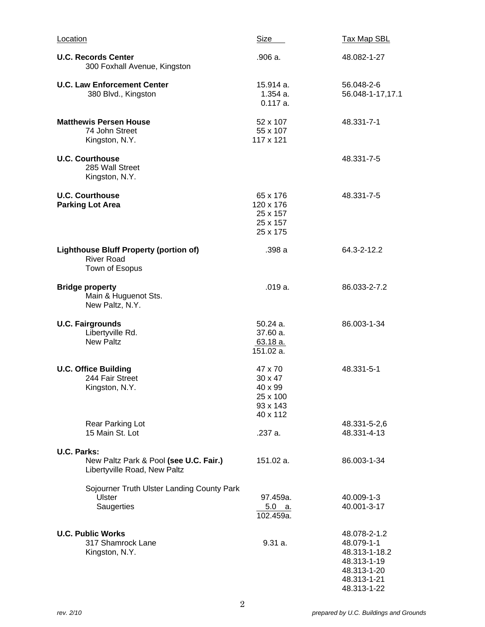| Location                                                                              | <b>Size</b>                                                              | <b>Tax Map SBL</b>                                                                                      |
|---------------------------------------------------------------------------------------|--------------------------------------------------------------------------|---------------------------------------------------------------------------------------------------------|
| <b>U.C. Records Center</b><br>300 Foxhall Avenue, Kingston                            | .906 a.                                                                  | 48.082-1-27                                                                                             |
| <b>U.C. Law Enforcement Center</b><br>380 Blvd., Kingston                             | 15.914 a.<br>$1.354a$ .<br>0.117a.                                       | 56.048-2-6<br>56.048-1-17,17.1                                                                          |
| <b>Matthewis Persen House</b><br>74 John Street<br>Kingston, N.Y.                     | 52 x 107<br>55 x 107<br>117 x 121                                        | 48.331-7-1                                                                                              |
| <b>U.C. Courthouse</b><br>285 Wall Street<br>Kingston, N.Y.                           |                                                                          | 48.331-7-5                                                                                              |
| <b>U.C. Courthouse</b><br><b>Parking Lot Area</b>                                     | 65 x 176<br>120 x 176<br>25 x 157<br>25 x 157<br>25 x 175                | 48.331-7-5                                                                                              |
| <b>Lighthouse Bluff Property (portion of)</b><br><b>River Road</b><br>Town of Esopus  | .398 a                                                                   | 64.3-2-12.2                                                                                             |
| <b>Bridge property</b><br>Main & Huguenot Sts.<br>New Paltz, N.Y.                     | .019a.                                                                   | 86.033-2-7.2                                                                                            |
| <b>U.C. Fairgrounds</b><br>Libertyville Rd.<br><b>New Paltz</b>                       | $50.24a$ .<br>37.60 a.<br>$63.18a$ .<br>151.02 a.                        | 86.003-1-34                                                                                             |
| <b>U.C. Office Building</b><br>244 Fair Street<br>Kingston, N.Y.                      | 47 x 70<br>30 x 47<br>$40 \times 99$<br>25 x 100<br>93 x 143<br>40 x 112 | 48.331-5-1                                                                                              |
| Rear Parking Lot<br>15 Main St. Lot                                                   | .237 a.                                                                  | 48.331-5-2,6<br>48.331-4-13                                                                             |
| U.C. Parks:<br>New Paltz Park & Pool (see U.C. Fair.)<br>Libertyville Road, New Paltz | 151.02 a.                                                                | 86.003-1-34                                                                                             |
| Sojourner Truth Ulster Landing County Park<br>Ulster<br>Saugerties                    | 97.459a.<br>5.0 a.<br>102.459a.                                          | 40.009-1-3<br>40.001-3-17                                                                               |
| <b>U.C. Public Works</b><br>317 Shamrock Lane<br>Kingston, N.Y.                       | 9.31a.                                                                   | 48.078-2-1.2<br>48.079-1-1<br>48.313-1-18.2<br>48.313-1-19<br>48.313-1-20<br>48.313-1-21<br>48.313-1-22 |

2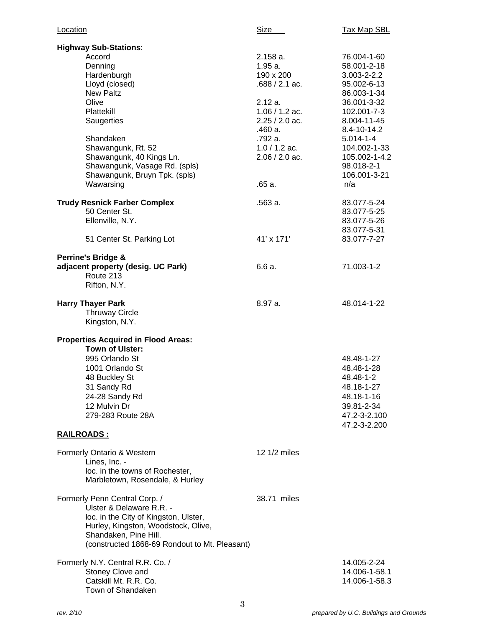| Location                                                                                                                                                                                                                                                                                  | Size Sim                                                                                                                                                                   | <b>Tax Map SBL</b>                                                                                                                                                                                                                 |
|-------------------------------------------------------------------------------------------------------------------------------------------------------------------------------------------------------------------------------------------------------------------------------------------|----------------------------------------------------------------------------------------------------------------------------------------------------------------------------|------------------------------------------------------------------------------------------------------------------------------------------------------------------------------------------------------------------------------------|
| <b>Highway Sub-Stations:</b><br>Accord<br>Denning<br>Hardenburgh<br>Lloyd (closed)<br><b>New Paltz</b><br>Olive<br>Plattekill<br>Saugerties<br>Shandaken<br>Shawangunk, Rt. 52<br>Shawangunk, 40 Kings Ln.<br>Shawangunk, Vasage Rd. (spls)<br>Shawangunk, Bruyn Tpk. (spls)<br>Wawarsing | 2.158a.<br>1.95a.<br>190 x 200<br>$.688 / 2.1$ ac.<br>2.12a.<br>$1.06 / 1.2$ ac.<br>$2.25 / 2.0$ ac.<br>.460 a.<br>.792 a.<br>$1.0 / 1.2$ ac.<br>$2.06 / 2.0$ ac.<br>.65a. | 76.004-1-60<br>58.001-2-18<br>$3.003 - 2 - 2.2$<br>95.002-6-13<br>86.003-1-34<br>36.001-3-32<br>102.001-7-3<br>8.004-11-45<br>8.4-10-14.2<br>$5.014 - 1 - 4$<br>104.002-1-33<br>105.002-1-4.2<br>98.018-2-1<br>106.001-3-21<br>n/a |
| <b>Trudy Resnick Farber Complex</b><br>50 Center St.<br>Ellenville, N.Y.<br>51 Center St. Parking Lot                                                                                                                                                                                     | .563 a.<br>41' x 171'                                                                                                                                                      | 83.077-5-24<br>83.077-5-25<br>83.077-5-26<br>83.077-5-31<br>83.077-7-27                                                                                                                                                            |
| <b>Perrine's Bridge &amp;</b><br>adjacent property (desig. UC Park)<br>Route 213<br>Rifton, N.Y.                                                                                                                                                                                          | 6.6a.                                                                                                                                                                      | 71.003-1-2                                                                                                                                                                                                                         |
| <b>Harry Thayer Park</b><br><b>Thruway Circle</b><br>Kingston, N.Y.                                                                                                                                                                                                                       | 8.97 a.                                                                                                                                                                    | 48.014-1-22                                                                                                                                                                                                                        |
| <b>Properties Acquired in Flood Areas:</b><br><b>Town of Ulster:</b><br>995 Orlando St<br>1001 Orlando St<br>48 Buckley St<br>31 Sandy Rd<br>24-28 Sandy Rd<br>12 Mulvin Dr<br>279-283 Route 28A                                                                                          |                                                                                                                                                                            | 48.48-1-27<br>48.48-1-28<br>48.48-1-2<br>48.18-1-27<br>48.18-1-16<br>39.81-2-34<br>47.2-3-2.100                                                                                                                                    |
| <u>RAILROADS:</u>                                                                                                                                                                                                                                                                         |                                                                                                                                                                            | 47.2-3-2.200                                                                                                                                                                                                                       |
| Formerly Ontario & Western<br>Lines, Inc. -<br>loc. in the towns of Rochester,<br>Marbletown, Rosendale, & Hurley                                                                                                                                                                         | 12 1/2 miles                                                                                                                                                               |                                                                                                                                                                                                                                    |
| Formerly Penn Central Corp. /<br>Ulster & Delaware R.R. -<br>loc. in the City of Kingston, Ulster,<br>Hurley, Kingston, Woodstock, Olive,<br>Shandaken, Pine Hill.<br>(constructed 1868-69 Rondout to Mt. Pleasant)                                                                       | 38.71 miles                                                                                                                                                                |                                                                                                                                                                                                                                    |
| Formerly N.Y. Central R.R. Co. /<br>Stoney Clove and<br>Catskill Mt. R.R. Co.<br>Town of Shandaken                                                                                                                                                                                        |                                                                                                                                                                            | 14.005-2-24<br>14.006-1-58.1<br>14.006-1-58.3                                                                                                                                                                                      |